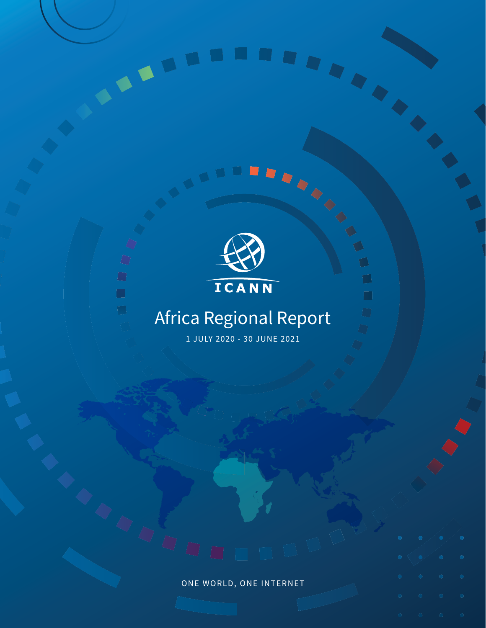



 $\Box$ 

 $\Box$ 

 $\bigcirc$ 

 $\Box$ 

 $\Box$ 

### Africa Regional Report

1 JULY 2020 - 30 JUNE 2021

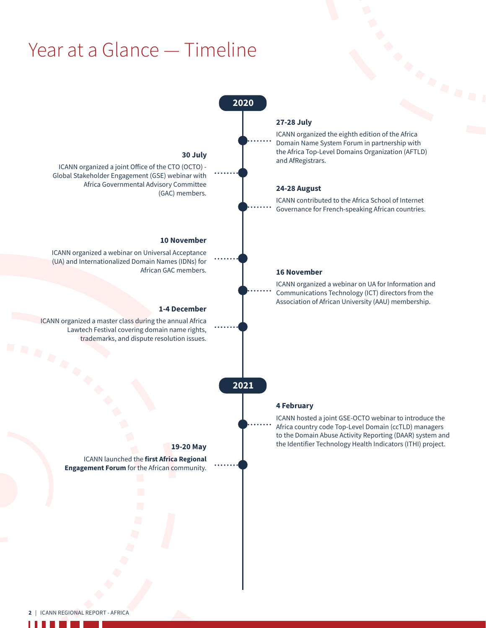### Year at a Glance — Timeline



**The Contract of Street**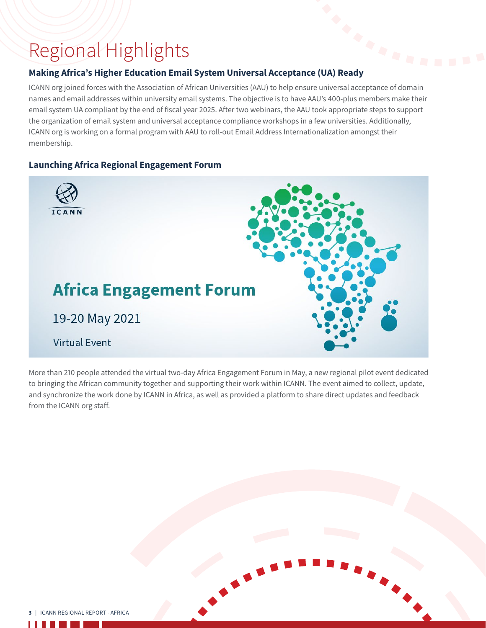## Regional Highlights **Making Africa's Higher Education Email System Universal Acceptance (UA) Ready**

ICANN org joined forces with the Association of African Universities (AAU) to help ensure universal acceptance of domain names and email addresses within university email systems. The objective is to have AAU's 400-plus members make their email system UA compliant by the end of fiscal year 2025. After two webinars, the AAU took appropriate steps to support the organization of email system and universal acceptance compliance workshops in a few universities. Additionally, ICANN org is working on a formal program with AAU to roll-out Email Address Internationalization amongst their membership.

### **Launching Africa Regional Engagement Forum**



More than 210 people attended the virtual two-day Africa Engagement Forum in May, a new regional pilot event dedicated to bringing the African community together and supporting their work within ICANN. The event aimed to collect, update, and synchronize the work done by ICANN in Africa, as well as provided a platform to share direct updates and feedback from the ICANN org staff.

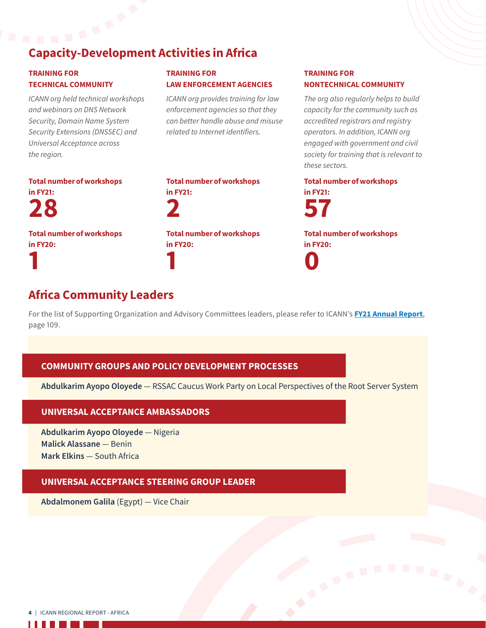# Capacity-Development Activities in Africa

### TRAINING FOR TECHNICAL COMMUNITY

*ICANN org held technical workshops and webinars on DNS Network Security, Domain Name System Security Extensions (DNSSEC) and Universal Acceptance across the region.*

TRAINING FOR LAW ENFORCEMENT AGENCIES

*ICANN org provides training for law enforcement agencies so that they can better handle abuse and misuse related to Internet identifiers.*

### TRAINING FOR NONTECHNICAL COMMUNITY

*The org also regularly helps to build capacity for the community such as accredited registrars and registry operators. In addition, ICANN org engaged with government and civil society for training that is relevant to these sectors.*

Total number of workshops in FY21: 28 Total number of workshops

in FY20: 1

Total number of workshops in FY21: 2 Total number of workshops in FY20: 1

### Total number of workshops in FY21:



Total number of workshops in FY20: 0

### Africa Community Leaders

For the list of Supporting Organization and Advisory Committees leaders, please refer to ICANN's **[FY21 Annual Report](https://www.icann.org/en/system/files/files/annual-report-2021-en.pdf)**, page 109.

### COMMUNITY GROUPS AND POLICY DEVELOPMENT PROCESSES

**Abdulkarim Ayopo Oloyede** — RSSAC Caucus Work Party on Local Perspectives of the Root Server System

### UNIVERSAL ACCEPTANCE AMBASSADORS

**Abdulkarim Ayopo Oloyede** — Nigeria **Malick Alassane** — Benin **Mark Elkins** — South Africa

### UNIVERSAL ACCEPTANCE STEERING GROUP LEADER

**Abdalmonem Galila** (Egypt) — Vice Chair

4 | ICANN REGIONAL REPORT - AFRICA

×.